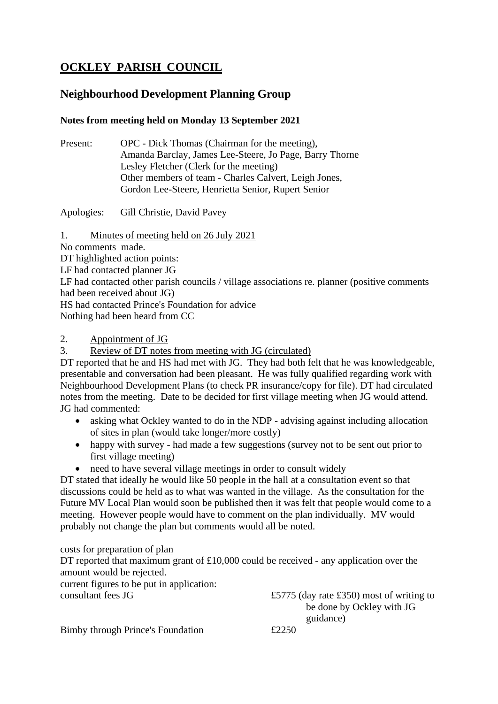# **OCKLEY PARISH COUNCIL**

# **Neighbourhood Development Planning Group**

# **Notes from meeting held on Monday 13 September 2021**

Present: OPC - Dick Thomas (Chairman for the meeting), Amanda Barclay, James Lee-Steere, Jo Page, Barry Thorne Lesley Fletcher (Clerk for the meeting) Other members of team - Charles Calvert, Leigh Jones, Gordon Lee-Steere, Henrietta Senior, Rupert Senior

Apologies: Gill Christie, David Pavey

1. Minutes of meeting held on 26 July 2021 No comments made. DT highlighted action points: LF had contacted planner JG LF had contacted other parish councils / village associations re. planner (positive comments had been received about JG) HS had contacted Prince's Foundation for advice Nothing had been heard from CC

2. Appointment of JG

3. Review of DT notes from meeting with JG (circulated)

DT reported that he and HS had met with JG. They had both felt that he was knowledgeable, presentable and conversation had been pleasant. He was fully qualified regarding work with Neighbourhood Development Plans (to check PR insurance/copy for file). DT had circulated notes from the meeting. Date to be decided for first village meeting when JG would attend. JG had commented:

- asking what Ockley wanted to do in the NDP advising against including allocation of sites in plan (would take longer/more costly)
- happy with survey had made a few suggestions (survey not to be sent out prior to first village meeting)
- need to have several village meetings in order to consult widely

DT stated that ideally he would like 50 people in the hall at a consultation event so that discussions could be held as to what was wanted in the village. As the consultation for the Future MV Local Plan would soon be published then it was felt that people would come to a meeting. However people would have to comment on the plan individually. MV would probably not change the plan but comments would all be noted.

#### costs for preparation of plan

DT reported that maximum grant of £10,000 could be received - any application over the amount would be rejected.

current figures to be put in application:

consultant fees JG £5775 (day rate £350) most of writing to be done by Ockley with JG guidance)

Bimby through Prince's Foundation £2250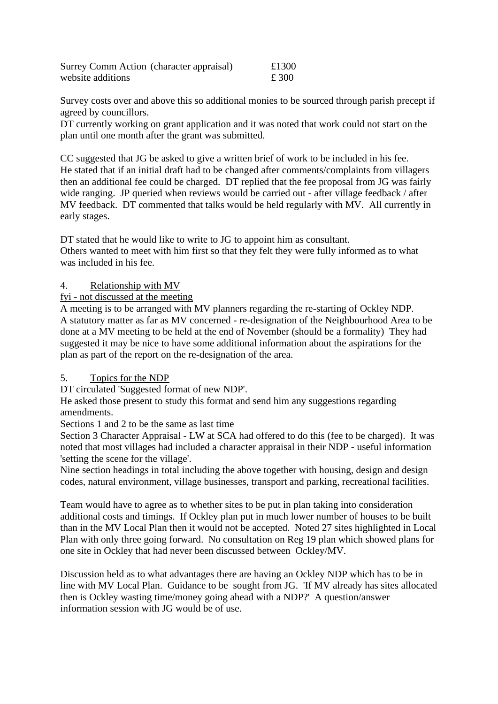| Surrey Comm Action (character appraisal) | £1300 |
|------------------------------------------|-------|
| website additions                        | £300  |

Survey costs over and above this so additional monies to be sourced through parish precept if agreed by councillors.

DT currently working on grant application and it was noted that work could not start on the plan until one month after the grant was submitted.

CC suggested that JG be asked to give a written brief of work to be included in his fee. He stated that if an initial draft had to be changed after comments/complaints from villagers then an additional fee could be charged. DT replied that the fee proposal from JG was fairly wide ranging. JP queried when reviews would be carried out - after village feedback / after MV feedback. DT commented that talks would be held regularly with MV. All currently in early stages.

DT stated that he would like to write to JG to appoint him as consultant. Others wanted to meet with him first so that they felt they were fully informed as to what was included in his fee.

#### 4. Relationship with MV

#### fyi - not discussed at the meeting

A meeting is to be arranged with MV planners regarding the re-starting of Ockley NDP. A statutory matter as far as MV concerned - re-designation of the Neighbourhood Area to be done at a MV meeting to be held at the end of November (should be a formality) They had suggested it may be nice to have some additional information about the aspirations for the plan as part of the report on the re-designation of the area.

#### 5. Topics for the NDP

DT circulated 'Suggested format of new NDP'.

He asked those present to study this format and send him any suggestions regarding amendments.

Sections 1 and 2 to be the same as last time

Section 3 Character Appraisal - LW at SCA had offered to do this (fee to be charged). It was noted that most villages had included a character appraisal in their NDP - useful information 'setting the scene for the village'.

Nine section headings in total including the above together with housing, design and design codes, natural environment, village businesses, transport and parking, recreational facilities.

Team would have to agree as to whether sites to be put in plan taking into consideration additional costs and timings. If Ockley plan put in much lower number of houses to be built than in the MV Local Plan then it would not be accepted. Noted 27 sites highlighted in Local Plan with only three going forward. No consultation on Reg 19 plan which showed plans for one site in Ockley that had never been discussed between Ockley/MV.

Discussion held as to what advantages there are having an Ockley NDP which has to be in line with MV Local Plan. Guidance to be sought from JG. 'If MV already has sites allocated then is Ockley wasting time/money going ahead with a NDP?' A question/answer information session with JG would be of use.